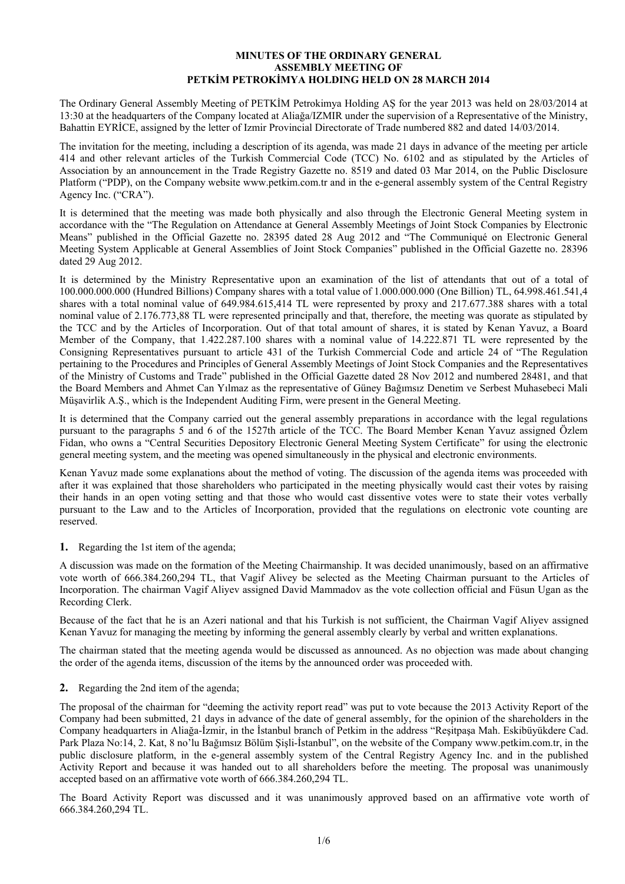#### **MINUTES OF THE ORDINARY GENERAL ASSEMBLY MEETING OF PETKİM PETROKİMYA HOLDING HELD ON 28 MARCH 2014**

The Ordinary General Assembly Meeting of PETKİM Petrokimya Holding AŞ for the year 2013 was held on 28/03/2014 at 13:30 at the headquarters of the Company located at Aliağa/IZMIR under the supervision of a Representative of the Ministry, Bahattin EYRİCE, assigned by the letter of Izmir Provincial Directorate of Trade numbered 882 and dated 14/03/2014.

The invitation for the meeting, including a description of its agenda, was made 21 days in advance of the meeting per article 414 and other relevant articles of the Turkish Commercial Code (TCC) No. 6102 and as stipulated by the Articles of Association by an announcement in the Trade Registry Gazette no. 8519 and dated 03 Mar 2014, on the Public Disclosure Platform ("PDP), on the Company website www.petkim.com.tr and in the e-general assembly system of the Central Registry Agency Inc. ("CRA").

It is determined that the meeting was made both physically and also through the Electronic General Meeting system in accordance with the "The Regulation on Attendance at General Assembly Meetings of Joint Stock Companies by Electronic Means" published in the Official Gazette no. 28395 dated 28 Aug 2012 and "The Communiqué on Electronic General Meeting System Applicable at General Assemblies of Joint Stock Companies" published in the Official Gazette no. 28396 dated 29 Aug 2012.

It is determined by the Ministry Representative upon an examination of the list of attendants that out of a total of 100.000.000.000 (Hundred Billions) Company shares with a total value of 1.000.000.000 (One Billion) TL, 64.998.461.541,4 shares with a total nominal value of 649.984.615,414 TL were represented by proxy and 217.677.388 shares with a total nominal value of 2.176.773,88 TL were represented principally and that, therefore, the meeting was quorate as stipulated by the TCC and by the Articles of Incorporation. Out of that total amount of shares, it is stated by Kenan Yavuz, a Board Member of the Company, that 1.422.287.100 shares with a nominal value of 14.222.871 TL were represented by the Consigning Representatives pursuant to article 431 of the Turkish Commercial Code and article 24 of "The Regulation pertaining to the Procedures and Principles of General Assembly Meetings of Joint Stock Companies and the Representatives of the Ministry of Customs and Trade" published in the Official Gazette dated 28 Nov 2012 and numbered 28481, and that the Board Members and Ahmet Can Yılmaz as the representative of Güney Bağımsız Denetim ve Serbest Muhasebeci Mali Müşavirlik A.Ş., which is the Independent Auditing Firm, were present in the General Meeting.

It is determined that the Company carried out the general assembly preparations in accordance with the legal regulations pursuant to the paragraphs 5 and 6 of the 1527th article of the TCC. The Board Member Kenan Yavuz assigned Özlem Fidan, who owns a "Central Securities Depository Electronic General Meeting System Certificate" for using the electronic general meeting system, and the meeting was opened simultaneously in the physical and electronic environments.

Kenan Yavuz made some explanations about the method of voting. The discussion of the agenda items was proceeded with after it was explained that those shareholders who participated in the meeting physically would cast their votes by raising their hands in an open voting setting and that those who would cast dissentive votes were to state their votes verbally pursuant to the Law and to the Articles of Incorporation, provided that the regulations on electronic vote counting are reserved.

### **1.** Regarding the 1st item of the agenda;

A discussion was made on the formation of the Meeting Chairmanship. It was decided unanimously, based on an affirmative vote worth of 666.384.260,294 TL, that Vagif Alivey be selected as the Meeting Chairman pursuant to the Articles of Incorporation. The chairman Vagif Aliyev assigned David Mammadov as the vote collection official and Füsun Ugan as the Recording Clerk.

Because of the fact that he is an Azeri national and that his Turkish is not sufficient, the Chairman Vagif Aliyev assigned Kenan Yavuz for managing the meeting by informing the general assembly clearly by verbal and written explanations.

The chairman stated that the meeting agenda would be discussed as announced. As no objection was made about changing the order of the agenda items, discussion of the items by the announced order was proceeded with.

### **2.** Regarding the 2nd item of the agenda;

The proposal of the chairman for "deeming the activity report read" was put to vote because the 2013 Activity Report of the Company had been submitted, 21 days in advance of the date of general assembly, for the opinion of the shareholders in the Company headquarters in Aliağa-İzmir, in the İstanbul branch of Petkim in the address "Reşitpaşa Mah. Eskibüyükdere Cad. Park Plaza No:14, 2. Kat, 8 no'lu Bağımsız Bölüm Şişli-İstanbul", on the website of the Company www.petkim.com.tr, in the public disclosure platform, in the e-general assembly system of the Central Registry Agency Inc. and in the published Activity Report and because it was handed out to all shareholders before the meeting. The proposal was unanimously accepted based on an affirmative vote worth of 666.384.260,294 TL.

The Board Activity Report was discussed and it was unanimously approved based on an affirmative vote worth of 666.384.260,294 TL.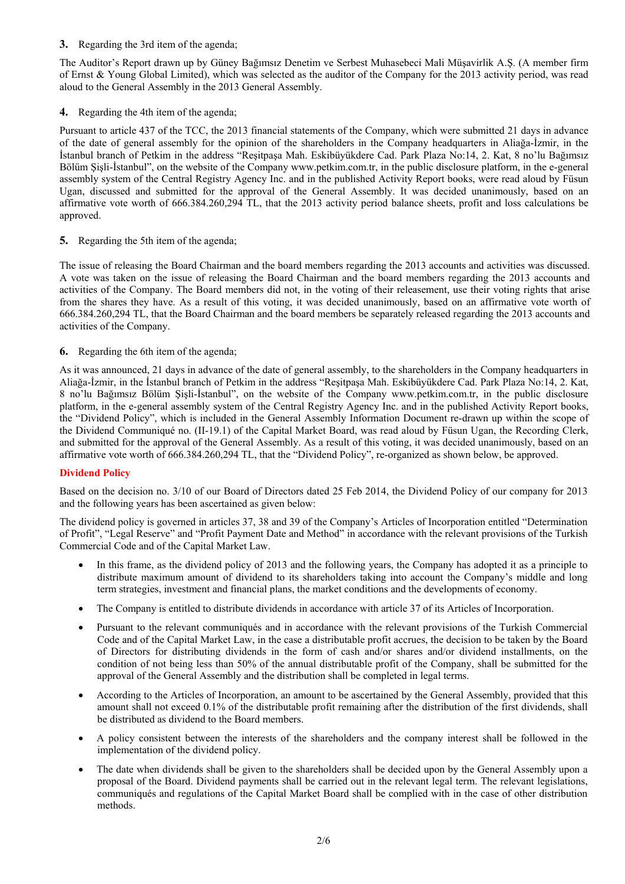**3.** Regarding the 3rd item of the agenda;

The Auditor's Report drawn up by Güney Bağımsız Denetim ve Serbest Muhasebeci Mali Müşavirlik A.Ş. (A member firm of Ernst & Young Global Limited), which was selected as the auditor of the Company for the 2013 activity period, was read aloud to the General Assembly in the 2013 General Assembly.

**4.** Regarding the 4th item of the agenda;

Pursuant to article 437 of the TCC, the 2013 financial statements of the Company, which were submitted 21 days in advance of the date of general assembly for the opinion of the shareholders in the Company headquarters in Aliağa-İzmir, in the İstanbul branch of Petkim in the address "Reşitpaşa Mah. Eskibüyükdere Cad. Park Plaza No:14, 2. Kat, 8 no'lu Bağımsız Bölüm Şişli-İstanbul", on the website of the Company www.petkim.com.tr, in the public disclosure platform, in the e-general assembly system of the Central Registry Agency Inc. and in the published Activity Report books, were read aloud by Füsun Ugan, discussed and submitted for the approval of the General Assembly. It was decided unanimously, based on an affirmative vote worth of 666.384.260,294 TL, that the 2013 activity period balance sheets, profit and loss calculations be approved.

**5.** Regarding the 5th item of the agenda;

The issue of releasing the Board Chairman and the board members regarding the 2013 accounts and activities was discussed. A vote was taken on the issue of releasing the Board Chairman and the board members regarding the 2013 accounts and activities of the Company. The Board members did not, in the voting of their releasement, use their voting rights that arise from the shares they have. As a result of this voting, it was decided unanimously, based on an affirmative vote worth of 666.384.260,294 TL, that the Board Chairman and the board members be separately released regarding the 2013 accounts and activities of the Company.

**6.** Regarding the 6th item of the agenda;

As it was announced, 21 days in advance of the date of general assembly, to the shareholders in the Company headquarters in Aliağa-İzmir, in the İstanbul branch of Petkim in the address "Reşitpaşa Mah. Eskibüyükdere Cad. Park Plaza No:14, 2. Kat, 8 no'lu Bağımsız Bölüm Şişli-İstanbul", on the website of the Company www.petkim.com.tr, in the public disclosure platform, in the e-general assembly system of the Central Registry Agency Inc. and in the published Activity Report books, the "Dividend Policy", which is included in the General Assembly Information Document re-drawn up within the scope of the Dividend Communiqué no. (II-19.1) of the Capital Market Board, was read aloud by Füsun Ugan, the Recording Clerk, and submitted for the approval of the General Assembly. As a result of this voting, it was decided unanimously, based on an affirmative vote worth of 666.384.260,294 TL, that the "Dividend Policy", re-organized as shown below, be approved.

## **Dividend Policy**

Based on the decision no. 3/10 of our Board of Directors dated 25 Feb 2014, the Dividend Policy of our company for 2013 and the following years has been ascertained as given below:

The dividend policy is governed in articles 37, 38 and 39 of the Company's Articles of Incorporation entitled "Determination of Profit", "Legal Reserve" and "Profit Payment Date and Method" in accordance with the relevant provisions of the Turkish Commercial Code and of the Capital Market Law.

- In this frame, as the dividend policy of 2013 and the following years, the Company has adopted it as a principle to distribute maximum amount of dividend to its shareholders taking into account the Company's middle and long term strategies, investment and financial plans, the market conditions and the developments of economy.
- The Company is entitled to distribute dividends in accordance with article 37 of its Articles of Incorporation.
- Pursuant to the relevant communiqués and in accordance with the relevant provisions of the Turkish Commercial Code and of the Capital Market Law, in the case a distributable profit accrues, the decision to be taken by the Board of Directors for distributing dividends in the form of cash and/or shares and/or dividend installments, on the condition of not being less than 50% of the annual distributable profit of the Company, shall be submitted for the approval of the General Assembly and the distribution shall be completed in legal terms.
- According to the Articles of Incorporation, an amount to be ascertained by the General Assembly, provided that this amount shall not exceed 0.1% of the distributable profit remaining after the distribution of the first dividends, shall be distributed as dividend to the Board members.
- A policy consistent between the interests of the shareholders and the company interest shall be followed in the implementation of the dividend policy.
- The date when dividends shall be given to the shareholders shall be decided upon by the General Assembly upon a proposal of the Board. Dividend payments shall be carried out in the relevant legal term. The relevant legislations, communiqués and regulations of the Capital Market Board shall be complied with in the case of other distribution methods.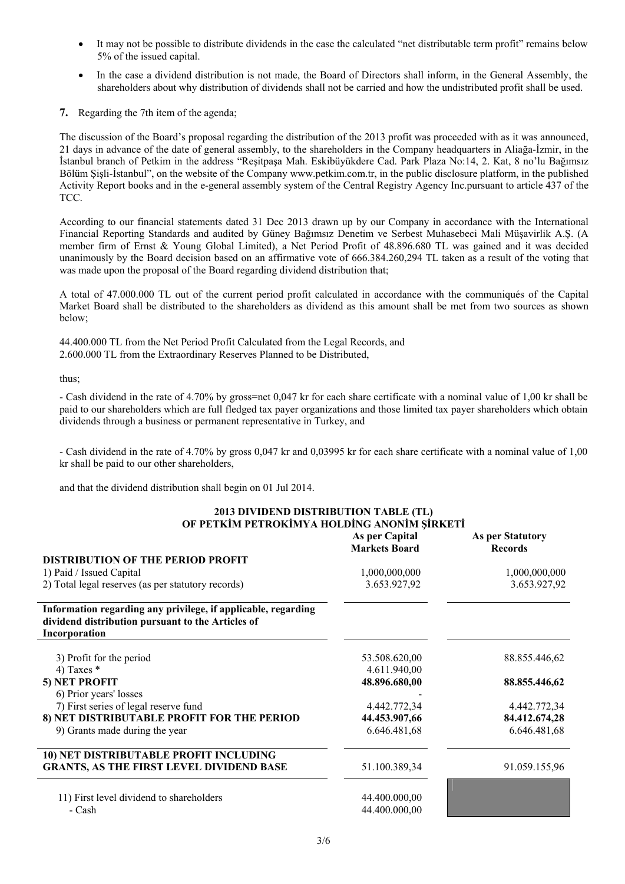- It may not be possible to distribute dividends in the case the calculated "net distributable term profit" remains below 5% of the issued capital.
- In the case a dividend distribution is not made, the Board of Directors shall inform, in the General Assembly, the shareholders about why distribution of dividends shall not be carried and how the undistributed profit shall be used.
- **7.** Regarding the 7th item of the agenda;

The discussion of the Board's proposal regarding the distribution of the 2013 profit was proceeded with as it was announced, 21 days in advance of the date of general assembly, to the shareholders in the Company headquarters in Aliağa-İzmir, in the İstanbul branch of Petkim in the address "Reşitpaşa Mah. Eskibüyükdere Cad. Park Plaza No:14, 2. Kat, 8 no'lu Bağımsız Bölüm Şişli-İstanbul", on the website of the Company www.petkim.com.tr, in the public disclosure platform, in the published Activity Report books and in the e-general assembly system of the Central Registry Agency Inc.pursuant to article 437 of the TCC.

According to our financial statements dated 31 Dec 2013 drawn up by our Company in accordance with the International Financial Reporting Standards and audited by Güney Bağımsız Denetim ve Serbest Muhasebeci Mali Müşavirlik A.Ş. (A member firm of Ernst & Young Global Limited), a Net Period Profit of 48.896.680 TL was gained and it was decided unanimously by the Board decision based on an affirmative vote of 666.384.260,294 TL taken as a result of the voting that was made upon the proposal of the Board regarding dividend distribution that;

A total of 47.000.000 TL out of the current period profit calculated in accordance with the communiqués of the Capital Market Board shall be distributed to the shareholders as dividend as this amount shall be met from two sources as shown below;

44.400.000 TL from the Net Period Profit Calculated from the Legal Records, and 2.600.000 TL from the Extraordinary Reserves Planned to be Distributed,

thus;

- Cash dividend in the rate of 4.70% by gross=net 0,047 kr for each share certificate with a nominal value of 1,00 kr shall be paid to our shareholders which are full fledged tax payer organizations and those limited tax payer shareholders which obtain dividends through a business or permanent representative in Turkey, and

- Cash dividend in the rate of 4.70% by gross 0,047 kr and 0,03995 kr for each share certificate with a nominal value of 1,00 kr shall be paid to our other shareholders,

**2013 DIVIDEND DISTRIBUTION TABLE (TL)** 

and that the dividend distribution shall begin on 01 Jul 2014.

| OF PETKIM PETROKIMYA HOLDING ANONIM ŞİRKETİ                                                                                         |                                        |                                           |
|-------------------------------------------------------------------------------------------------------------------------------------|----------------------------------------|-------------------------------------------|
|                                                                                                                                     | As per Capital<br><b>Markets Board</b> | <b>As per Statutory</b><br><b>Records</b> |
| <b>DISTRIBUTION OF THE PERIOD PROFIT</b>                                                                                            |                                        |                                           |
| 1) Paid / Issued Capital                                                                                                            | 1,000,000,000                          | 1,000,000,000                             |
| 2) Total legal reserves (as per statutory records)                                                                                  | 3.653.927,92                           | 3.653.927,92                              |
| Information regarding any privilege, if applicable, regarding<br>dividend distribution pursuant to the Articles of<br>Incorporation |                                        |                                           |
| 3) Profit for the period                                                                                                            | 53.508.620,00                          | 88.855.446,62                             |
| 4) Taxes $*$                                                                                                                        | 4.611.940,00                           |                                           |
| 5) NET PROFIT                                                                                                                       | 48.896.680,00                          | 88.855.446,62                             |
| 6) Prior years' losses                                                                                                              |                                        |                                           |
| 7) First series of legal reserve fund                                                                                               | 4.442.772,34                           | 4.442.772,34                              |
| 8) NET DISTRIBUTABLE PROFIT FOR THE PERIOD                                                                                          | 44.453.907,66                          | 84.412.674,28                             |
| 9) Grants made during the year                                                                                                      | 6.646.481,68                           | 6.646.481,68                              |
| 10) NET DISTRIBUTABLE PROFIT INCLUDING                                                                                              |                                        |                                           |
| <b>GRANTS, AS THE FIRST LEVEL DIVIDEND BASE</b>                                                                                     | 51.100.389,34                          | 91.059.155,96                             |
| 11) First level dividend to shareholders                                                                                            | 44.400.000,00                          |                                           |
| - Cash                                                                                                                              | 44.400.000,00                          |                                           |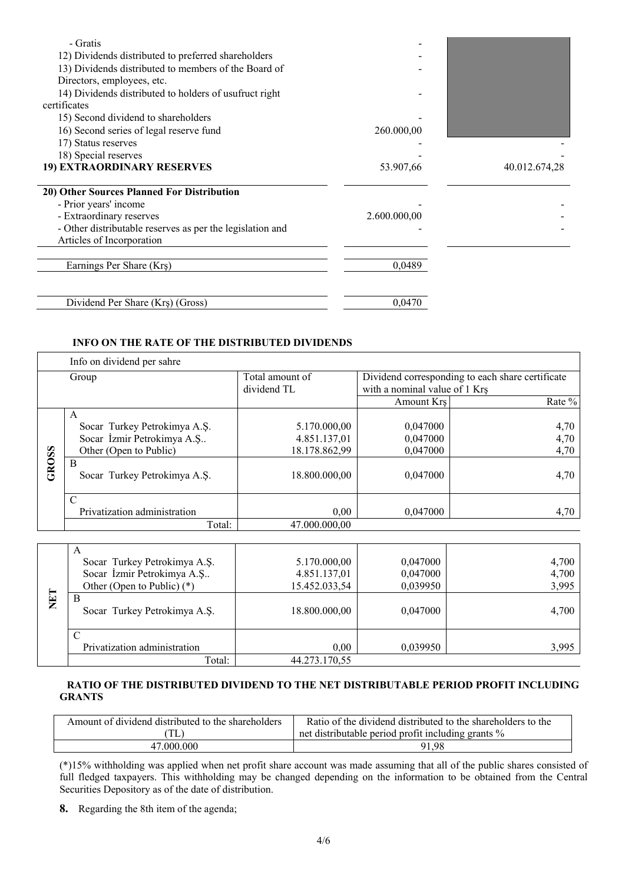| - Gratis                                                  |              |               |
|-----------------------------------------------------------|--------------|---------------|
| 12) Dividends distributed to preferred shareholders       |              |               |
| 13) Dividends distributed to members of the Board of      |              |               |
| Directors, employees, etc.                                |              |               |
|                                                           |              |               |
| 14) Dividends distributed to holders of usufruct right    |              |               |
| certificates                                              |              |               |
| 15) Second dividend to shareholders                       |              |               |
| 16) Second series of legal reserve fund                   | 260.000,00   |               |
| 17) Status reserves                                       |              |               |
| 18) Special reserves                                      |              |               |
| 19) EXTRAORDINARY RESERVES                                | 53.907,66    | 40.012.674,28 |
|                                                           |              |               |
| 20) Other Sources Planned For Distribution                |              |               |
| - Prior years' income                                     |              |               |
| - Extraordinary reserves                                  | 2.600.000,00 |               |
| - Other distributable reserves as per the legislation and |              |               |
| Articles of Incorporation                                 |              |               |
|                                                           |              |               |
| Earnings Per Share (Krş)                                  | 0,0489       |               |
|                                                           |              |               |
|                                                           |              |               |
| Dividend Per Share (Krs) (Gross)                          | 0,0470       |               |

## **INFO ON THE RATE OF THE DISTRIBUTED DIVIDENDS**

|       | Info on dividend per sahre        |                 |                               |                                                  |
|-------|-----------------------------------|-----------------|-------------------------------|--------------------------------------------------|
|       | Group                             | Total amount of |                               | Dividend corresponding to each share certificate |
|       |                                   | dividend TL     | with a nominal value of 1 Krs |                                                  |
|       |                                   |                 | Amount Krs                    | Rate %                                           |
|       | A                                 |                 |                               |                                                  |
|       | Socar Turkey Petrokimya A.S.      | 5.170.000,00    | 0.047000                      | 4,70                                             |
|       | Socar İzmir Petrokimya A.Ş        | 4.851.137,01    | 0,047000                      | 4,70                                             |
|       | Other (Open to Public)            | 18.178.862,99   | 0,047000                      | 4,70                                             |
| GROSS | B<br>Socar Turkey Petrokimya A.S. | 18.800.000,00   | 0,047000                      | 4,70                                             |
|       | $\mathcal{C}$                     |                 |                               |                                                  |
|       | Privatization administration      | 0,00            | 0.047000                      | 4,70                                             |
|       | Total:                            | 47.000.000.00   |                               |                                                  |

| NET | A<br>Socar Turkey Petrokimya A.Ş.<br>Socar İzmir Petrokimya A.Ş<br>Other (Open to Public) $(*)$<br>B<br>Socar Turkey Petrokimya A.S. | 5.170.000,00<br>4.851.137,01<br>15.452.033,54<br>18.800.000,00 | 0,047000<br>0,047000<br>0,039950<br>0.047000 | 4,700<br>4,700<br>3,995<br>4,700 |
|-----|--------------------------------------------------------------------------------------------------------------------------------------|----------------------------------------------------------------|----------------------------------------------|----------------------------------|
|     | Privatization administration<br>Total:                                                                                               | 0.00<br>44.273.170,55                                          | 0,039950                                     | 3,995                            |

# **RATIO OF THE DISTRIBUTED DIVIDEND TO THE NET DISTRIBUTABLE PERIOD PROFIT INCLUDING GRANTS**

| Amount of dividend distributed to the shareholders | Ratio of the dividend distributed to the shareholders to the |
|----------------------------------------------------|--------------------------------------------------------------|
|                                                    | net distributable period profit including grants %           |
| 47 000 000                                         | 91.98                                                        |

(\*)15% withholding was applied when net profit share account was made assuming that all of the public shares consisted of full fledged taxpayers. This withholding may be changed depending on the information to be obtained from the Central Securities Depository as of the date of distribution.

**8.** Regarding the 8th item of the agenda;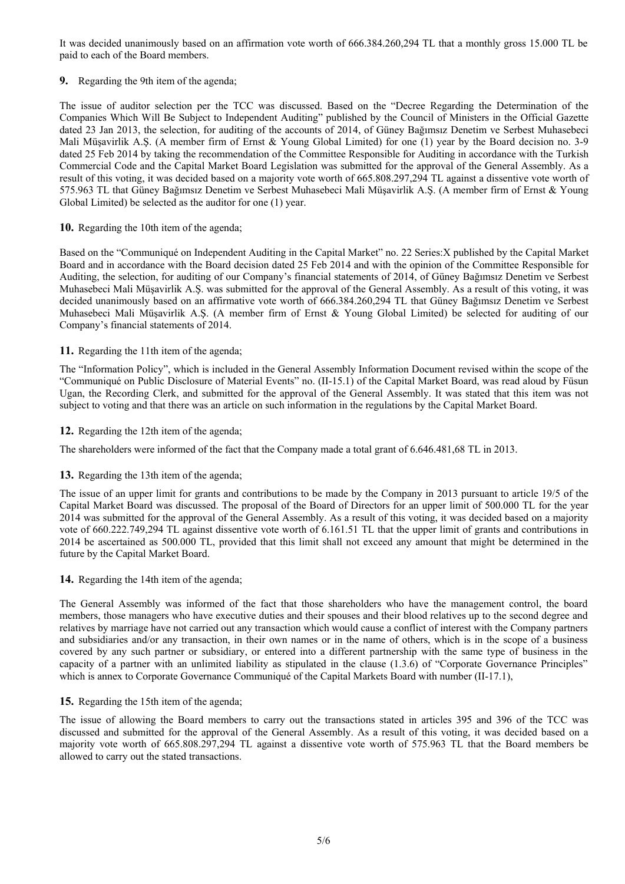It was decided unanimously based on an affirmation vote worth of 666.384.260,294 TL that a monthly gross 15.000 TL be paid to each of the Board members.

**9.** Regarding the 9th item of the agenda;

The issue of auditor selection per the TCC was discussed. Based on the "Decree Regarding the Determination of the Companies Which Will Be Subject to Independent Auditing" published by the Council of Ministers in the Official Gazette dated 23 Jan 2013, the selection, for auditing of the accounts of 2014, of Güney Bağımsız Denetim ve Serbest Muhasebeci Mali Müşavirlik A.Ş. (A member firm of Ernst & Young Global Limited) for one (1) year by the Board decision no. 3-9 dated 25 Feb 2014 by taking the recommendation of the Committee Responsible for Auditing in accordance with the Turkish Commercial Code and the Capital Market Board Legislation was submitted for the approval of the General Assembly. As a result of this voting, it was decided based on a majority vote worth of 665.808.297,294 TL against a dissentive vote worth of 575.963 TL that Güney Bağımsız Denetim ve Serbest Muhasebeci Mali Müşavirlik A.Ş. (A member firm of Ernst & Young Global Limited) be selected as the auditor for one (1) year.

### **10.** Regarding the 10th item of the agenda;

Based on the "Communiqué on Independent Auditing in the Capital Market" no. 22 Series:X published by the Capital Market Board and in accordance with the Board decision dated 25 Feb 2014 and with the opinion of the Committee Responsible for Auditing, the selection, for auditing of our Company's financial statements of 2014, of Güney Bağımsız Denetim ve Serbest Muhasebeci Mali Müşavirlik A.Ş. was submitted for the approval of the General Assembly. As a result of this voting, it was decided unanimously based on an affirmative vote worth of 666.384.260,294 TL that Güney Bağımsız Denetim ve Serbest Muhasebeci Mali Müşavirlik A.Ş. (A member firm of Ernst & Young Global Limited) be selected for auditing of our Company's financial statements of 2014.

### **11.** Regarding the 11th item of the agenda;

The "Information Policy", which is included in the General Assembly Information Document revised within the scope of the "Communiqué on Public Disclosure of Material Events" no. (II-15.1) of the Capital Market Board, was read aloud by Füsun Ugan, the Recording Clerk, and submitted for the approval of the General Assembly. It was stated that this item was not subject to voting and that there was an article on such information in the regulations by the Capital Market Board.

### **12.** Regarding the 12th item of the agenda;

The shareholders were informed of the fact that the Company made a total grant of 6.646.481,68 TL in 2013.

### **13.** Regarding the 13th item of the agenda;

The issue of an upper limit for grants and contributions to be made by the Company in 2013 pursuant to article 19/5 of the Capital Market Board was discussed. The proposal of the Board of Directors for an upper limit of 500.000 TL for the year 2014 was submitted for the approval of the General Assembly. As a result of this voting, it was decided based on a majority vote of 660.222.749,294 TL against dissentive vote worth of 6.161.51 TL that the upper limit of grants and contributions in 2014 be ascertained as 500.000 TL, provided that this limit shall not exceed any amount that might be determined in the future by the Capital Market Board.

### **14.** Regarding the 14th item of the agenda;

The General Assembly was informed of the fact that those shareholders who have the management control, the board members, those managers who have executive duties and their spouses and their blood relatives up to the second degree and relatives by marriage have not carried out any transaction which would cause a conflict of interest with the Company partners and subsidiaries and/or any transaction, in their own names or in the name of others, which is in the scope of a business covered by any such partner or subsidiary, or entered into a different partnership with the same type of business in the capacity of a partner with an unlimited liability as stipulated in the clause (1.3.6) of "Corporate Governance Principles" which is annex to Corporate Governance Communiqué of the Capital Markets Board with number (II-17.1),

### **15.** Regarding the 15th item of the agenda;

The issue of allowing the Board members to carry out the transactions stated in articles 395 and 396 of the TCC was discussed and submitted for the approval of the General Assembly. As a result of this voting, it was decided based on a majority vote worth of 665.808.297,294 TL against a dissentive vote worth of 575.963 TL that the Board members be allowed to carry out the stated transactions.